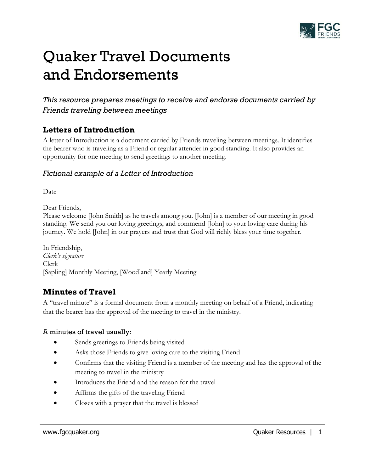

# Quaker Travel Documents and Endorsements

# *This resource prepares meetings to receive and endorse documents carried by Friends traveling between meetings*

## **Letters of Introduction**

A letter of Introduction is a document carried by Friends traveling between meetings. It identifies the bearer who is traveling as a Friend or regular attender in good standing. It also provides an opportunity for one meeting to send greetings to another meeting.

### *Fictional example of a Letter of Introduction*

Date

Dear Friends,

Please welcome [John Smith] as he travels among you. [John] is a member of our meeting in good standing. We send you our loving greetings, and commend [John] to your loving care during his journey. We hold [John] in our prayers and trust that God will richly bless your time together.

In Friendship, *Clerk's signature* Clerk [Sapling] Monthly Meeting, [Woodland] Yearly Meeting

## **Minutes of Travel**

A "travel minute" is a formal document from a monthly meeting on behalf of a Friend, indicating that the bearer has the approval of the meeting to travel in the ministry.

#### A minutes of travel usually:

- Sends greetings to Friends being visited
- Asks those Friends to give loving care to the visiting Friend
- Confirms that the visiting Friend is a member of the meeting and has the approval of the meeting to travel in the ministry
- Introduces the Friend and the reason for the travel
- Affirms the gifts of the traveling Friend
- Closes with a prayer that the travel is blessed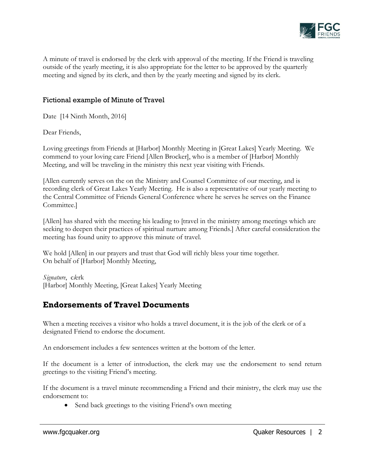

A minute of travel is endorsed by the clerk with approval of the meeting. If the Friend is traveling outside of the yearly meeting, it is also appropriate for the letter to be approved by the quarterly meeting and signed by its clerk, and then by the yearly meeting and signed by its clerk.

#### Fictional example of Minute of Travel

Date [14 Ninth Month, 2016]

Dear Friends,

Loving greetings from Friends at [Harbor] Monthly Meeting in [Great Lakes] Yearly Meeting. We commend to your loving care Friend [Allen Brocker], who is a member of [Harbor] Monthly Meeting, and will be traveling in the ministry this next year visiting with Friends.

[Allen currently serves on the on the Ministry and Counsel Committee of our meeting, and is recording clerk of Great Lakes Yearly Meeting. He is also a representative of our yearly meeting to the Central Committee of Friends General Conference where he serves he serves on the Finance Committee.]

[Allen] has shared with the meeting his leading to [travel in the ministry among meetings which are seeking to deepen their practices of spiritual nurture among Friends.] After careful consideration the meeting has found unity to approve this minute of travel.

We hold [Allen] in our prayers and trust that God will richly bless your time together. On behalf of [Harbor] Monthly Meeting,

*Signature*, c*l*erk [Harbor] Monthly Meeting, [Great Lakes] Yearly Meeting

# **Endorsements of Travel Documents**

When a meeting receives a visitor who holds a travel document, it is the job of the clerk or of a designated Friend to endorse the document.

An endorsement includes a few sentences written at the bottom of the letter.

If the document is a letter of introduction, the clerk may use the endorsement to send return greetings to the visiting Friend's meeting.

If the document is a travel minute recommending a Friend and their ministry, the clerk may use the endorsement to:

• Send back greetings to the visiting Friend's own meeting